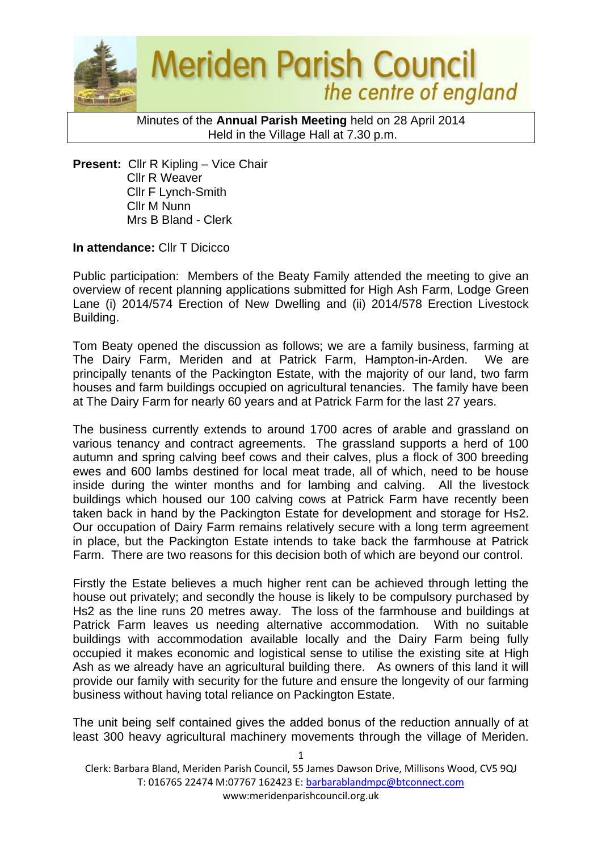

Minutes of the **Annual Parish Meeting** held on 28 April 2014 Held in the Village Hall at 7.30 p.m.

**Present:** Cllr R Kipling – Vice Chair Cllr R Weaver Cllr F Lynch-Smith Cllr M Nunn Mrs B Bland - Clerk

**In attendance: Cllr T Dicicco** 

Public participation: Members of the Beaty Family attended the meeting to give an overview of recent planning applications submitted for High Ash Farm, Lodge Green Lane (i) 2014/574 Erection of New Dwelling and (ii) 2014/578 Erection Livestock Building.

Tom Beaty opened the discussion as follows; we are a family business, farming at The Dairy Farm, Meriden and at Patrick Farm, Hampton-in-Arden. We are principally tenants of the Packington Estate, with the majority of our land, two farm houses and farm buildings occupied on agricultural tenancies. The family have been at The Dairy Farm for nearly 60 years and at Patrick Farm for the last 27 years.

The business currently extends to around 1700 acres of arable and grassland on various tenancy and contract agreements. The grassland supports a herd of 100 autumn and spring calving beef cows and their calves, plus a flock of 300 breeding ewes and 600 lambs destined for local meat trade, all of which, need to be house inside during the winter months and for lambing and calving. All the livestock buildings which housed our 100 calving cows at Patrick Farm have recently been taken back in hand by the Packington Estate for development and storage for Hs2. Our occupation of Dairy Farm remains relatively secure with a long term agreement in place, but the Packington Estate intends to take back the farmhouse at Patrick Farm. There are two reasons for this decision both of which are beyond our control.

Firstly the Estate believes a much higher rent can be achieved through letting the house out privately; and secondly the house is likely to be compulsory purchased by Hs2 as the line runs 20 metres away. The loss of the farmhouse and buildings at Patrick Farm leaves us needing alternative accommodation. With no suitable buildings with accommodation available locally and the Dairy Farm being fully occupied it makes economic and logistical sense to utilise the existing site at High Ash as we already have an agricultural building there. As owners of this land it will provide our family with security for the future and ensure the longevity of our farming business without having total reliance on Packington Estate.

The unit being self contained gives the added bonus of the reduction annually of at least 300 heavy agricultural machinery movements through the village of Meriden.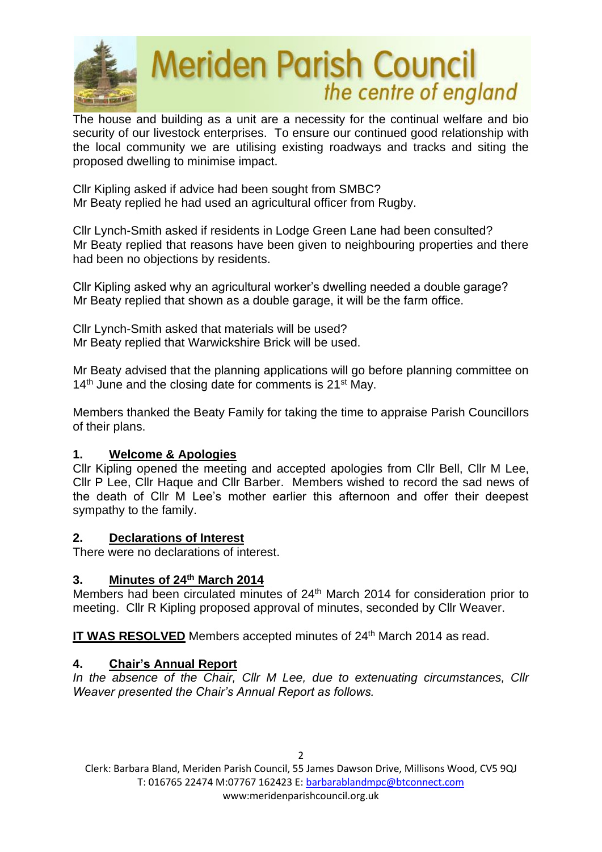

The house and building as a unit are a necessity for the continual welfare and bio security of our livestock enterprises. To ensure our continued good relationship with the local community we are utilising existing roadways and tracks and siting the proposed dwelling to minimise impact.

Cllr Kipling asked if advice had been sought from SMBC? Mr Beaty replied he had used an agricultural officer from Rugby.

Cllr Lynch-Smith asked if residents in Lodge Green Lane had been consulted? Mr Beaty replied that reasons have been given to neighbouring properties and there had been no objections by residents.

Cllr Kipling asked why an agricultural worker's dwelling needed a double garage? Mr Beaty replied that shown as a double garage, it will be the farm office.

Cllr Lynch-Smith asked that materials will be used? Mr Beaty replied that Warwickshire Brick will be used.

Mr Beaty advised that the planning applications will go before planning committee on  $14<sup>th</sup>$  June and the closing date for comments is 21<sup>st</sup> May.

Members thanked the Beaty Family for taking the time to appraise Parish Councillors of their plans.

## **1. Welcome & Apologies**

Cllr Kipling opened the meeting and accepted apologies from Cllr Bell, Cllr M Lee, Cllr P Lee, Cllr Haque and Cllr Barber. Members wished to record the sad news of the death of Cllr M Lee's mother earlier this afternoon and offer their deepest sympathy to the family.

## **2. Declarations of Interest**

There were no declarations of interest.

## **3. Minutes of 24 th March 2014**

Members had been circulated minutes of 24<sup>th</sup> March 2014 for consideration prior to meeting. Cllr R Kipling proposed approval of minutes, seconded by Cllr Weaver.

IT WAS RESOLVED Members accepted minutes of 24<sup>th</sup> March 2014 as read.

# **4. Chair's Annual Report**

*In the absence of the Chair, Cllr M Lee, due to extenuating circumstances, Cllr Weaver presented the Chair's Annual Report as follows.*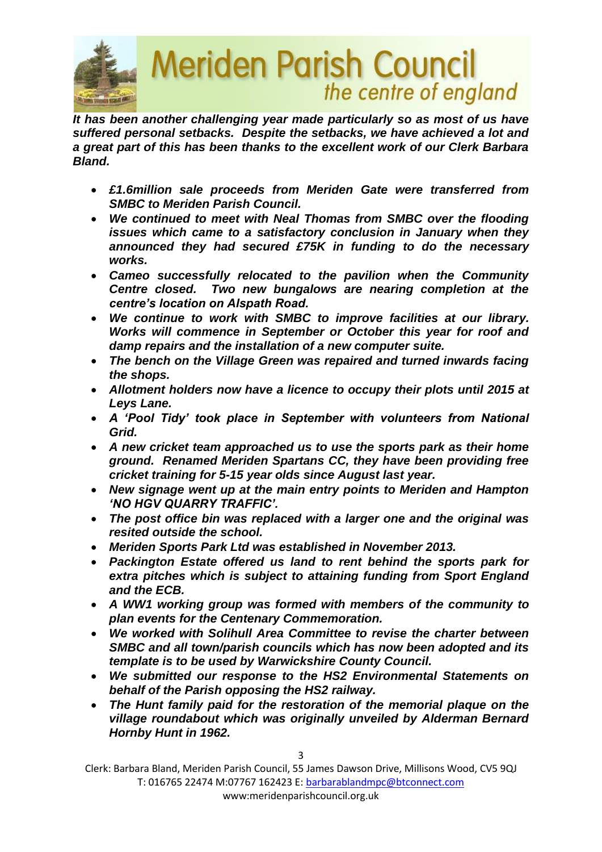

*It has been another challenging year made particularly so as most of us have suffered personal setbacks. Despite the setbacks, we have achieved a lot and a great part of this has been thanks to the excellent work of our Clerk Barbara Bland.*

- *£1.6million sale proceeds from Meriden Gate were transferred from SMBC to Meriden Parish Council.*
- *We continued to meet with Neal Thomas from SMBC over the flooding issues which came to a satisfactory conclusion in January when they announced they had secured £75K in funding to do the necessary works.*
- *Cameo successfully relocated to the pavilion when the Community Centre closed. Two new bungalows are nearing completion at the centre's location on Alspath Road.*
- *We continue to work with SMBC to improve facilities at our library. Works will commence in September or October this year for roof and damp repairs and the installation of a new computer suite.*
- *The bench on the Village Green was repaired and turned inwards facing the shops.*
- *Allotment holders now have a licence to occupy their plots until 2015 at Leys Lane.*
- *A 'Pool Tidy' took place in September with volunteers from National Grid.*
- *A new cricket team approached us to use the sports park as their home ground. Renamed Meriden Spartans CC, they have been providing free cricket training for 5-15 year olds since August last year.*
- *New signage went up at the main entry points to Meriden and Hampton 'NO HGV QUARRY TRAFFIC'.*
- *The post office bin was replaced with a larger one and the original was resited outside the school.*
- *Meriden Sports Park Ltd was established in November 2013.*
- *Packington Estate offered us land to rent behind the sports park for extra pitches which is subject to attaining funding from Sport England and the ECB.*
- *A WW1 working group was formed with members of the community to plan events for the Centenary Commemoration.*
- *We worked with Solihull Area Committee to revise the charter between SMBC and all town/parish councils which has now been adopted and its template is to be used by Warwickshire County Council.*
- *We submitted our response to the HS2 Environmental Statements on behalf of the Parish opposing the HS2 railway.*
- *The Hunt family paid for the restoration of the memorial plaque on the village roundabout which was originally unveiled by Alderman Bernard Hornby Hunt in 1962.*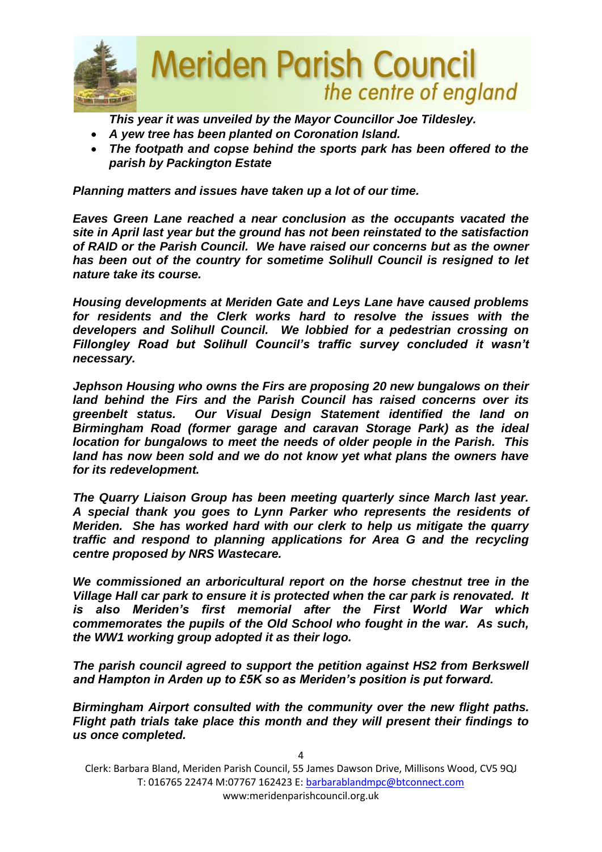

*This year it was unveiled by the Mayor Councillor Joe Tildesley.*

- *A yew tree has been planted on Coronation Island.*
- *The footpath and copse behind the sports park has been offered to the parish by Packington Estate*

*Planning matters and issues have taken up a lot of our time.*

*Eaves Green Lane reached a near conclusion as the occupants vacated the site in April last year but the ground has not been reinstated to the satisfaction of RAID or the Parish Council. We have raised our concerns but as the owner has been out of the country for sometime Solihull Council is resigned to let nature take its course.*

*Housing developments at Meriden Gate and Leys Lane have caused problems for residents and the Clerk works hard to resolve the issues with the developers and Solihull Council. We lobbied for a pedestrian crossing on Fillongley Road but Solihull Council's traffic survey concluded it wasn't necessary.* 

*Jephson Housing who owns the Firs are proposing 20 new bungalows on their land behind the Firs and the Parish Council has raised concerns over its greenbelt status. Our Visual Design Statement identified the land on Birmingham Road (former garage and caravan Storage Park) as the ideal location for bungalows to meet the needs of older people in the Parish. This land has now been sold and we do not know yet what plans the owners have for its redevelopment.*

*The Quarry Liaison Group has been meeting quarterly since March last year. A special thank you goes to Lynn Parker who represents the residents of Meriden. She has worked hard with our clerk to help us mitigate the quarry traffic and respond to planning applications for Area G and the recycling centre proposed by NRS Wastecare.*

*We commissioned an arboricultural report on the horse chestnut tree in the Village Hall car park to ensure it is protected when the car park is renovated. It is also Meriden's first memorial after the First World War which commemorates the pupils of the Old School who fought in the war. As such, the WW1 working group adopted it as their logo.*

*The parish council agreed to support the petition against HS2 from Berkswell and Hampton in Arden up to £5K so as Meriden's position is put forward.*

*Birmingham Airport consulted with the community over the new flight paths. Flight path trials take place this month and they will present their findings to us once completed.*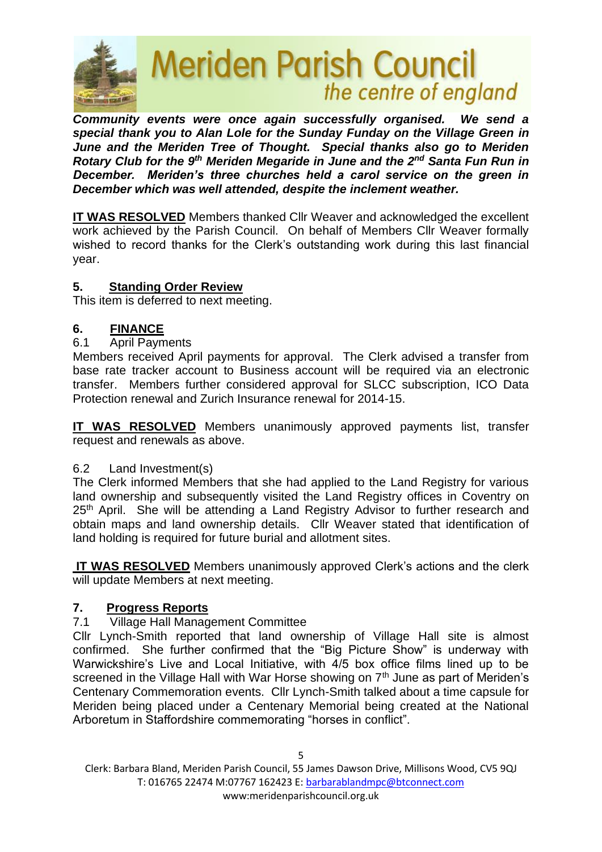

*Community events were once again successfully organised. We send a special thank you to Alan Lole for the Sunday Funday on the Village Green in June and the Meriden Tree of Thought. Special thanks also go to Meriden Rotary Club for the 9th Meriden Megaride in June and the 2nd Santa Fun Run in December. Meriden's three churches held a carol service on the green in December which was well attended, despite the inclement weather.*

**IT WAS RESOLVED** Members thanked Cllr Weaver and acknowledged the excellent work achieved by the Parish Council. On behalf of Members Cllr Weaver formally wished to record thanks for the Clerk's outstanding work during this last financial year.

#### **5. Standing Order Review**

This item is deferred to next meeting.

#### **6. FINANCE**

#### 6.1 April Payments

Members received April payments for approval. The Clerk advised a transfer from base rate tracker account to Business account will be required via an electronic transfer. Members further considered approval for SLCC subscription, ICO Data Protection renewal and Zurich Insurance renewal for 2014-15.

**IT WAS RESOLVED** Members unanimously approved payments list, transfer request and renewals as above.

#### 6.2 Land Investment(s)

The Clerk informed Members that she had applied to the Land Registry for various land ownership and subsequently visited the Land Registry offices in Coventry on 25<sup>th</sup> April. She will be attending a Land Registry Advisor to further research and obtain maps and land ownership details. Cllr Weaver stated that identification of land holding is required for future burial and allotment sites.

**IT WAS RESOLVED** Members unanimously approved Clerk's actions and the clerk will update Members at next meeting.

#### **7. Progress Reports**

#### 7.1 Village Hall Management Committee

Cllr Lynch-Smith reported that land ownership of Village Hall site is almost confirmed. She further confirmed that the "Big Picture Show" is underway with Warwickshire's Live and Local Initiative, with 4/5 box office films lined up to be screened in the Village Hall with War Horse showing on  $7<sup>th</sup>$  June as part of Meriden's Centenary Commemoration events. Cllr Lynch-Smith talked about a time capsule for Meriden being placed under a Centenary Memorial being created at the National Arboretum in Staffordshire commemorating "horses in conflict".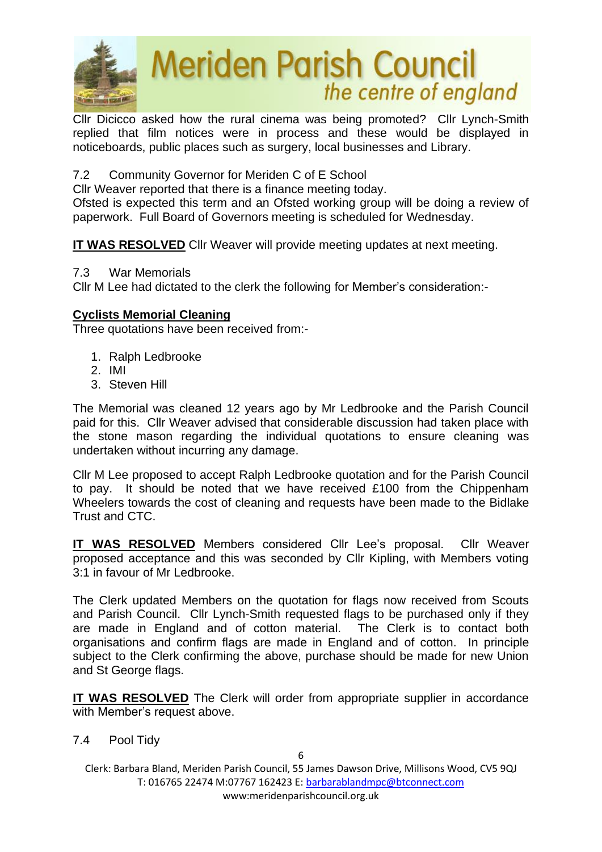

Cllr Dicicco asked how the rural cinema was being promoted? Cllr Lynch-Smith replied that film notices were in process and these would be displayed in noticeboards, public places such as surgery, local businesses and Library.

7.2 Community Governor for Meriden C of E School

Cllr Weaver reported that there is a finance meeting today.

Ofsted is expected this term and an Ofsted working group will be doing a review of paperwork. Full Board of Governors meeting is scheduled for Wednesday.

**IT WAS RESOLVED** Cllr Weaver will provide meeting updates at next meeting.

7.3 War Memorials

Cllr M Lee had dictated to the clerk the following for Member's consideration:-

# **Cyclists Memorial Cleaning**

Three quotations have been received from:-

- 1. Ralph Ledbrooke
- 2. IMI
- 3. Steven Hill

The Memorial was cleaned 12 years ago by Mr Ledbrooke and the Parish Council paid for this. Cllr Weaver advised that considerable discussion had taken place with the stone mason regarding the individual quotations to ensure cleaning was undertaken without incurring any damage.

Cllr M Lee proposed to accept Ralph Ledbrooke quotation and for the Parish Council to pay. It should be noted that we have received £100 from the Chippenham Wheelers towards the cost of cleaning and requests have been made to the Bidlake Trust and CTC.

**IT WAS RESOLVED** Members considered Cllr Lee's proposal. Cllr Weaver proposed acceptance and this was seconded by Cllr Kipling, with Members voting 3:1 in favour of Mr Ledbrooke.

The Clerk updated Members on the quotation for flags now received from Scouts and Parish Council. Cllr Lynch-Smith requested flags to be purchased only if they are made in England and of cotton material. The Clerk is to contact both organisations and confirm flags are made in England and of cotton. In principle subject to the Clerk confirming the above, purchase should be made for new Union and St George flags.

**IT WAS RESOLVED** The Clerk will order from appropriate supplier in accordance with Member's request above.

7.4 Pool Tidy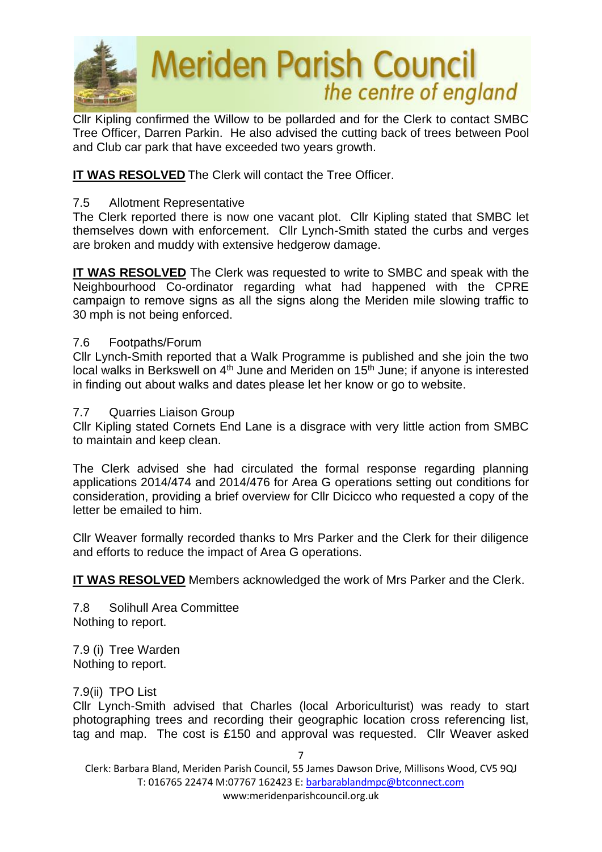

Cllr Kipling confirmed the Willow to be pollarded and for the Clerk to contact SMBC Tree Officer, Darren Parkin. He also advised the cutting back of trees between Pool and Club car park that have exceeded two years growth.

## **IT WAS RESOLVED** The Clerk will contact the Tree Officer.

#### 7.5 Allotment Representative

The Clerk reported there is now one vacant plot. Cllr Kipling stated that SMBC let themselves down with enforcement. Cllr Lynch-Smith stated the curbs and verges are broken and muddy with extensive hedgerow damage.

**IT WAS RESOLVED** The Clerk was requested to write to SMBC and speak with the Neighbourhood Co-ordinator regarding what had happened with the CPRE campaign to remove signs as all the signs along the Meriden mile slowing traffic to 30 mph is not being enforced.

#### 7.6 Footpaths/Forum

Cllr Lynch-Smith reported that a Walk Programme is published and she join the two local walks in Berkswell on  $4<sup>th</sup>$  June and Meriden on  $15<sup>th</sup>$  June; if anyone is interested in finding out about walks and dates please let her know or go to website.

#### 7.7 Quarries Liaison Group

Cllr Kipling stated Cornets End Lane is a disgrace with very little action from SMBC to maintain and keep clean.

The Clerk advised she had circulated the formal response regarding planning applications 2014/474 and 2014/476 for Area G operations setting out conditions for consideration, providing a brief overview for Cllr Dicicco who requested a copy of the letter be emailed to him.

Cllr Weaver formally recorded thanks to Mrs Parker and the Clerk for their diligence and efforts to reduce the impact of Area G operations.

**IT WAS RESOLVED** Members acknowledged the work of Mrs Parker and the Clerk.

7.8 Solihull Area Committee Nothing to report.

7.9 (i) Tree Warden Nothing to report.

7.9(ii) TPO List

Cllr Lynch-Smith advised that Charles (local Arboriculturist) was ready to start photographing trees and recording their geographic location cross referencing list, tag and map. The cost is £150 and approval was requested. Cllr Weaver asked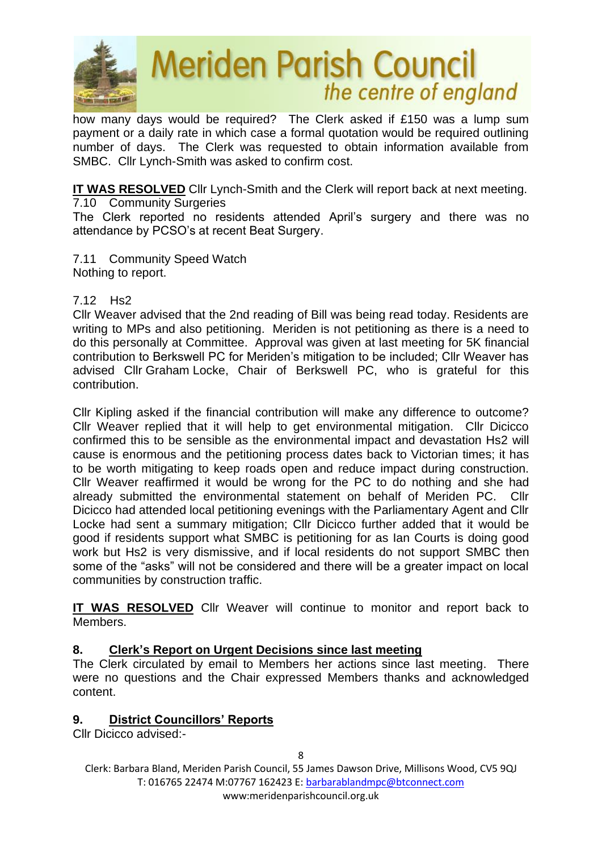

how many days would be required? The Clerk asked if £150 was a lump sum payment or a daily rate in which case a formal quotation would be required outlining number of days. The Clerk was requested to obtain information available from SMBC. Cllr Lynch-Smith was asked to confirm cost.

**IT WAS RESOLVED** Cllr Lynch-Smith and the Clerk will report back at next meeting.

7.10 Community Surgeries The Clerk reported no residents attended April's surgery and there was no attendance by PCSO's at recent Beat Surgery.

7.11 Community Speed Watch Nothing to report.

# 7.12 Hs2

Cllr Weaver advised that the 2nd reading of Bill was being read today. Residents are writing to MPs and also petitioning. Meriden is not petitioning as there is a need to do this personally at Committee. Approval was given at last meeting for 5K financial contribution to Berkswell PC for Meriden's mitigation to be included; Cllr Weaver has advised Cllr Graham Locke, Chair of Berkswell PC, who is grateful for this contribution.

Cllr Kipling asked if the financial contribution will make any difference to outcome? Cllr Weaver replied that it will help to get environmental mitigation. Cllr Dicicco confirmed this to be sensible as the environmental impact and devastation Hs2 will cause is enormous and the petitioning process dates back to Victorian times; it has to be worth mitigating to keep roads open and reduce impact during construction. Cllr Weaver reaffirmed it would be wrong for the PC to do nothing and she had already submitted the environmental statement on behalf of Meriden PC. Cllr Dicicco had attended local petitioning evenings with the Parliamentary Agent and Cllr Locke had sent a summary mitigation; Cllr Dicicco further added that it would be good if residents support what SMBC is petitioning for as Ian Courts is doing good work but Hs2 is very dismissive, and if local residents do not support SMBC then some of the "asks" will not be considered and there will be a greater impact on local communities by construction traffic.

**IT WAS RESOLVED** Cllr Weaver will continue to monitor and report back to Members.

## **8. Clerk's Report on Urgent Decisions since last meeting**

The Clerk circulated by email to Members her actions since last meeting. There were no questions and the Chair expressed Members thanks and acknowledged content.

## **9. District Councillors' Reports**

Cllr Dicicco advised:-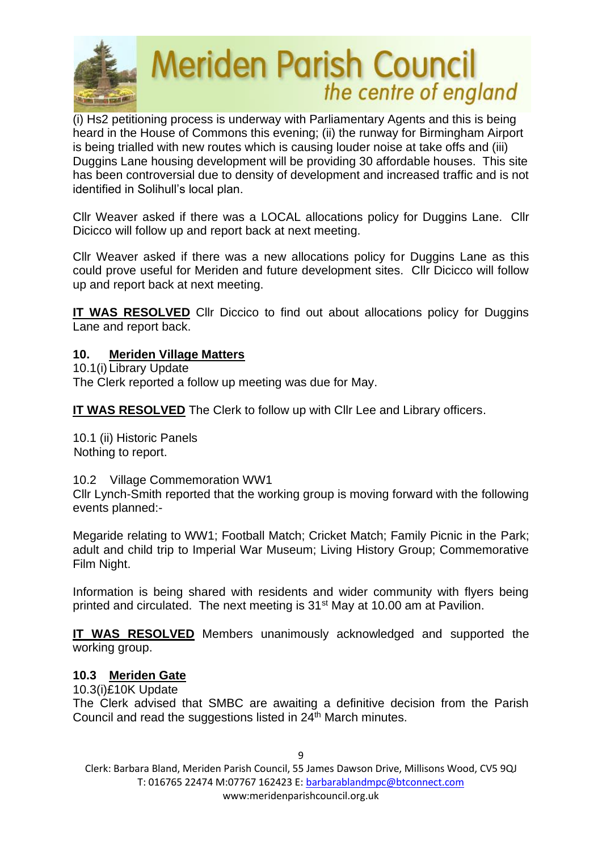

(i) Hs2 petitioning process is underway with Parliamentary Agents and this is being heard in the House of Commons this evening; (ii) the runway for Birmingham Airport is being trialled with new routes which is causing louder noise at take offs and (iii) Duggins Lane housing development will be providing 30 affordable houses. This site has been controversial due to density of development and increased traffic and is not identified in Solihull's local plan.

Cllr Weaver asked if there was a LOCAL allocations policy for Duggins Lane. Cllr Dicicco will follow up and report back at next meeting.

Cllr Weaver asked if there was a new allocations policy for Duggins Lane as this could prove useful for Meriden and future development sites. Cllr Dicicco will follow up and report back at next meeting.

**IT WAS RESOLVED** Cllr Diccico to find out about allocations policy for Duggins Lane and report back.

## **10. Meriden Village Matters**

10.1(i) Library Update The Clerk reported a follow up meeting was due for May.

**IT WAS RESOLVED** The Clerk to follow up with Cllr Lee and Library officers.

10.1 (ii) Historic Panels Nothing to report.

10.2 Village Commemoration WW1

Cllr Lynch-Smith reported that the working group is moving forward with the following events planned:-

Megaride relating to WW1; Football Match; Cricket Match; Family Picnic in the Park; adult and child trip to Imperial War Museum; Living History Group; Commemorative Film Night.

Information is being shared with residents and wider community with flyers being printed and circulated. The next meeting is 31<sup>st</sup> May at 10.00 am at Pavilion.

**IT WAS RESOLVED** Members unanimously acknowledged and supported the working group.

## **10.3 Meriden Gate**

10.3(i)£10K Update

The Clerk advised that SMBC are awaiting a definitive decision from the Parish Council and read the suggestions listed in 24<sup>th</sup> March minutes.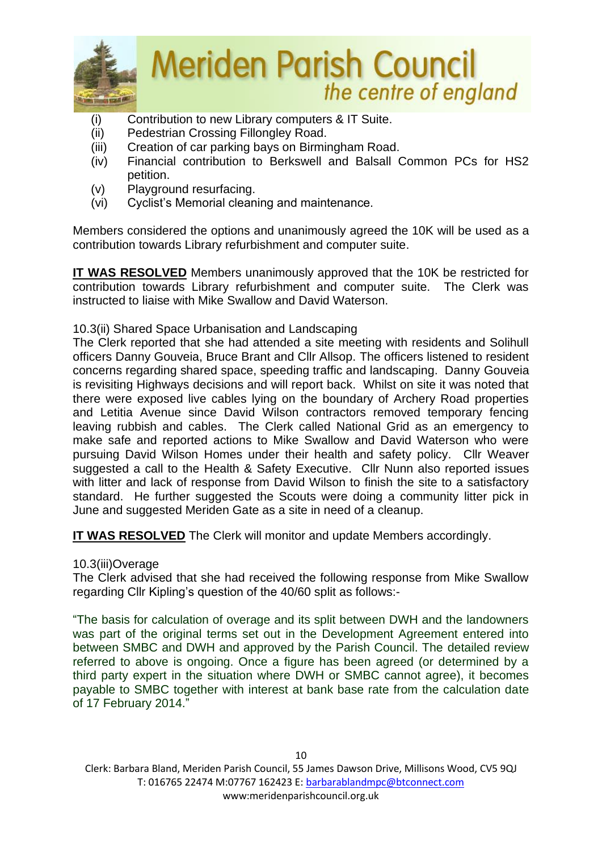

- (i) Contribution to new Library computers & IT Suite.
- (ii) Pedestrian Crossing Fillongley Road.
- (iii) Creation of car parking bays on Birmingham Road.
- (iv) Financial contribution to Berkswell and Balsall Common PCs for HS2 petition.
- (v) Playground resurfacing.
- (vi) Cyclist's Memorial cleaning and maintenance.

Members considered the options and unanimously agreed the 10K will be used as a contribution towards Library refurbishment and computer suite.

**IT WAS RESOLVED** Members unanimously approved that the 10K be restricted for contribution towards Library refurbishment and computer suite. The Clerk was instructed to liaise with Mike Swallow and David Waterson.

10.3(ii) Shared Space Urbanisation and Landscaping

The Clerk reported that she had attended a site meeting with residents and Solihull officers Danny Gouveia, Bruce Brant and Cllr Allsop. The officers listened to resident concerns regarding shared space, speeding traffic and landscaping. Danny Gouveia is revisiting Highways decisions and will report back. Whilst on site it was noted that there were exposed live cables lying on the boundary of Archery Road properties and Letitia Avenue since David Wilson contractors removed temporary fencing leaving rubbish and cables. The Clerk called National Grid as an emergency to make safe and reported actions to Mike Swallow and David Waterson who were pursuing David Wilson Homes under their health and safety policy. Cllr Weaver suggested a call to the Health & Safety Executive. Cllr Nunn also reported issues with litter and lack of response from David Wilson to finish the site to a satisfactory standard. He further suggested the Scouts were doing a community litter pick in June and suggested Meriden Gate as a site in need of a cleanup.

**IT WAS RESOLVED** The Clerk will monitor and update Members accordingly.

10.3(iii)Overage

The Clerk advised that she had received the following response from Mike Swallow regarding Cllr Kipling's question of the 40/60 split as follows:-

"The basis for calculation of overage and its split between DWH and the landowners was part of the original terms set out in the Development Agreement entered into between SMBC and DWH and approved by the Parish Council. The detailed review referred to above is ongoing. Once a figure has been agreed (or determined by a third party expert in the situation where DWH or SMBC cannot agree), it becomes payable to SMBC together with interest at bank base rate from the calculation date of 17 February 2014."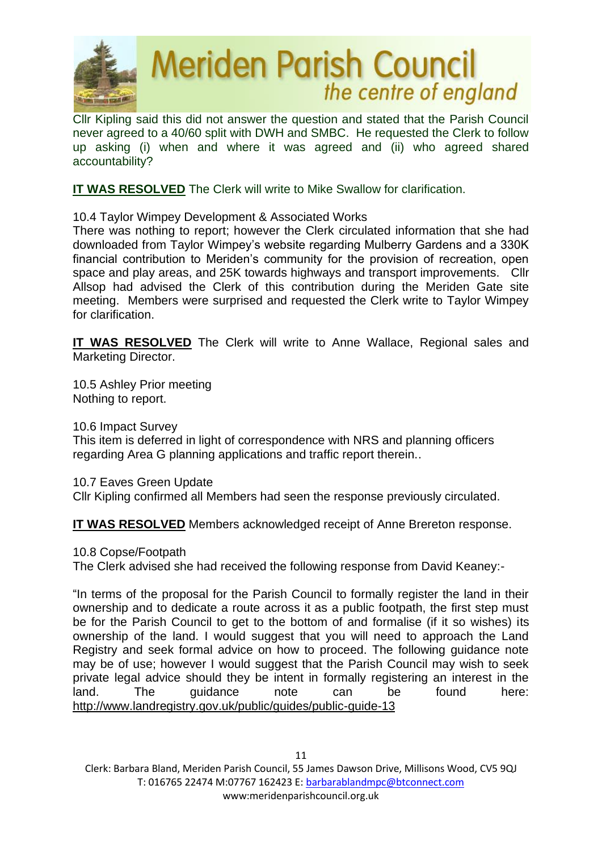

Cllr Kipling said this did not answer the question and stated that the Parish Council never agreed to a 40/60 split with DWH and SMBC. He requested the Clerk to follow up asking (i) when and where it was agreed and (ii) who agreed shared accountability?

**IT WAS RESOLVED** The Clerk will write to Mike Swallow for clarification.

10.4 Taylor Wimpey Development & Associated Works

There was nothing to report; however the Clerk circulated information that she had downloaded from Taylor Wimpey's website regarding Mulberry Gardens and a 330K financial contribution to Meriden's community for the provision of recreation, open space and play areas, and 25K towards highways and transport improvements. Cllr Allsop had advised the Clerk of this contribution during the Meriden Gate site meeting. Members were surprised and requested the Clerk write to Taylor Wimpey for clarification.

**IT WAS RESOLVED** The Clerk will write to Anne Wallace, Regional sales and Marketing Director.

10.5 Ashley Prior meeting Nothing to report.

10.6 Impact Survey

This item is deferred in light of correspondence with NRS and planning officers regarding Area G planning applications and traffic report therein..

10.7 Eaves Green Update

Cllr Kipling confirmed all Members had seen the response previously circulated.

**IT WAS RESOLVED** Members acknowledged receipt of Anne Brereton response.

10.8 Copse/Footpath

The Clerk advised she had received the following response from David Keaney:-

"In terms of the proposal for the Parish Council to formally register the land in their ownership and to dedicate a route across it as a public footpath, the first step must be for the Parish Council to get to the bottom of and formalise (if it so wishes) its ownership of the land. I would suggest that you will need to approach the Land Registry and seek formal advice on how to proceed. The following guidance note may be of use; however I would suggest that the Parish Council may wish to seek private legal advice should they be intent in formally registering an interest in the land. The guidance note can be found here: <http://www.landregistry.gov.uk/public/guides/public-guide-13>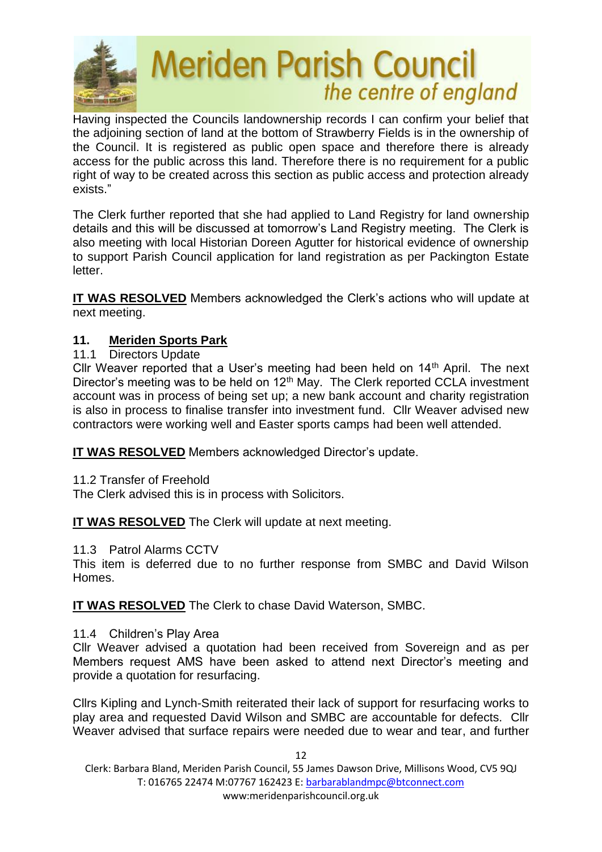

Having inspected the Councils landownership records I can confirm your belief that the adjoining section of land at the bottom of Strawberry Fields is in the ownership of the Council. It is registered as public open space and therefore there is already access for the public across this land. Therefore there is no requirement for a public right of way to be created across this section as public access and protection already exists."

The Clerk further reported that she had applied to Land Registry for land ownership details and this will be discussed at tomorrow's Land Registry meeting. The Clerk is also meeting with local Historian Doreen Agutter for historical evidence of ownership to support Parish Council application for land registration as per Packington Estate letter.

**IT WAS RESOLVED** Members acknowledged the Clerk's actions who will update at next meeting.

# **11. Meriden Sports Park**

11.1 Directors Update

Cllr Weaver reported that a User's meeting had been held on  $14<sup>th</sup>$  April. The next Director's meeting was to be held on  $12<sup>th</sup>$  May. The Clerk reported CCLA investment account was in process of being set up; a new bank account and charity registration is also in process to finalise transfer into investment fund. Cllr Weaver advised new contractors were working well and Easter sports camps had been well attended.

**IT WAS RESOLVED** Members acknowledged Director's update.

11.2 Transfer of Freehold

The Clerk advised this is in process with Solicitors.

**IT WAS RESOLVED** The Clerk will update at next meeting.

11.3 Patrol Alarms CCTV

This item is deferred due to no further response from SMBC and David Wilson Homes.

**IT WAS RESOLVED** The Clerk to chase David Waterson, SMBC.

11.4 Children's Play Area

Cllr Weaver advised a quotation had been received from Sovereign and as per Members request AMS have been asked to attend next Director's meeting and provide a quotation for resurfacing.

Cllrs Kipling and Lynch-Smith reiterated their lack of support for resurfacing works to play area and requested David Wilson and SMBC are accountable for defects. Cllr Weaver advised that surface repairs were needed due to wear and tear, and further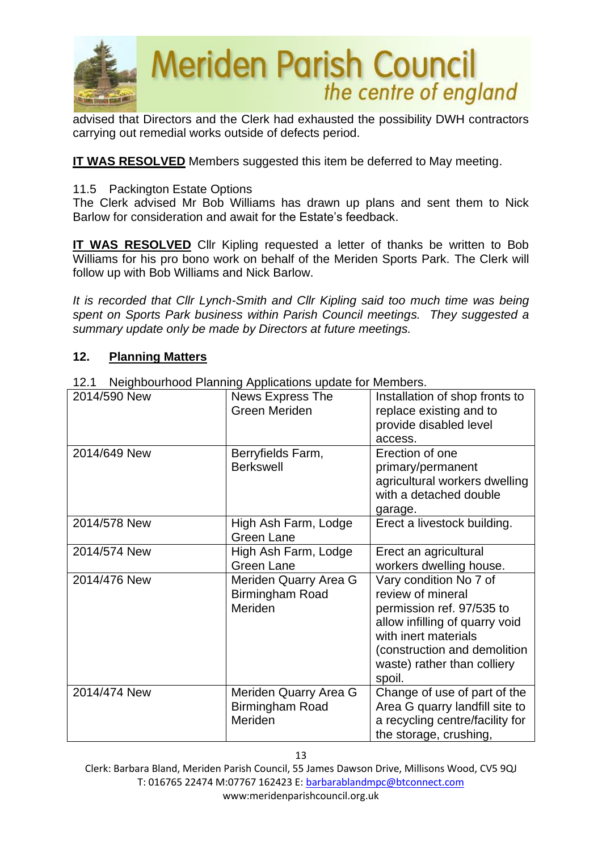

advised that Directors and the Clerk had exhausted the possibility DWH contractors carrying out remedial works outside of defects period.

**IT WAS RESOLVED** Members suggested this item be deferred to May meeting.

## 11.5 Packington Estate Options

The Clerk advised Mr Bob Williams has drawn up plans and sent them to Nick Barlow for consideration and await for the Estate's feedback.

**IT WAS RESOLVED** Cllr Kipling requested a letter of thanks be written to Bob Williams for his pro bono work on behalf of the Meriden Sports Park. The Clerk will follow up with Bob Williams and Nick Barlow.

*It is recorded that Cllr Lynch-Smith and Cllr Kipling said too much time was being spent on Sports Park business within Parish Council meetings. They suggested a summary update only be made by Directors at future meetings.* 

## **12. Planning Matters**

| 2014/590 New | News Express The<br>Green Meriden                   | Installation of shop fronts to<br>replace existing and to<br>provide disabled level<br>access.                                                                                                              |
|--------------|-----------------------------------------------------|-------------------------------------------------------------------------------------------------------------------------------------------------------------------------------------------------------------|
| 2014/649 New | Berryfields Farm,<br><b>Berkswell</b>               | Erection of one<br>primary/permanent<br>agricultural workers dwelling<br>with a detached double<br>garage.                                                                                                  |
| 2014/578 New | High Ash Farm, Lodge<br>Green Lane                  | Erect a livestock building.                                                                                                                                                                                 |
| 2014/574 New | High Ash Farm, Lodge<br>Green Lane                  | Erect an agricultural<br>workers dwelling house.                                                                                                                                                            |
| 2014/476 New | Meriden Quarry Area G<br>Birmingham Road<br>Meriden | Vary condition No 7 of<br>review of mineral<br>permission ref. 97/535 to<br>allow infilling of quarry void<br>with inert materials<br>(construction and demolition<br>waste) rather than colliery<br>spoil. |
| 2014/474 New | Meriden Quarry Area G<br>Birmingham Road<br>Meriden | Change of use of part of the<br>Area G quarry landfill site to<br>a recycling centre/facility for<br>the storage, crushing,                                                                                 |

12.1 Neighbourhood Planning Applications update for Members.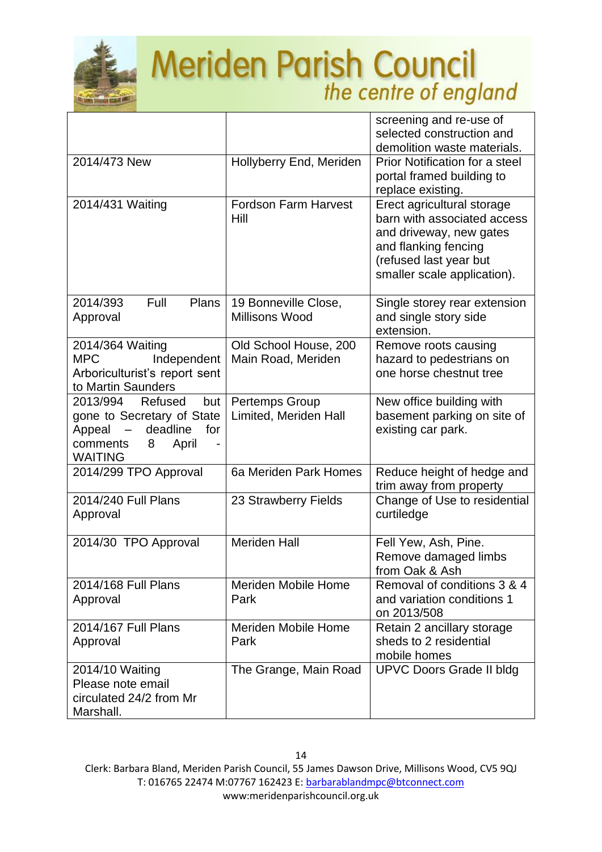

|                                                                                                                                   |                                             | screening and re-use of<br>selected construction and<br>demolition waste materials.                                                                                   |
|-----------------------------------------------------------------------------------------------------------------------------------|---------------------------------------------|-----------------------------------------------------------------------------------------------------------------------------------------------------------------------|
| 2014/473 New                                                                                                                      | Hollyberry End, Meriden                     | <b>Prior Notification for a steel</b><br>portal framed building to<br>replace existing.                                                                               |
| 2014/431 Waiting                                                                                                                  | <b>Fordson Farm Harvest</b><br>Hill         | Erect agricultural storage<br>barn with associated access<br>and driveway, new gates<br>and flanking fencing<br>(refused last year but<br>smaller scale application). |
| 2014/393<br>Full<br>Plans<br>Approval                                                                                             | 19 Bonneville Close,<br>Millisons Wood      | Single storey rear extension<br>and single story side<br>extension.                                                                                                   |
| 2014/364 Waiting<br><b>MPC</b><br>Independent<br>Arboriculturist's report sent<br>to Martin Saunders                              | Old School House, 200<br>Main Road, Meriden | Remove roots causing<br>hazard to pedestrians on<br>one horse chestnut tree                                                                                           |
| 2013/994<br>Refused<br>but<br>gone to Secretary of State<br>deadline<br>Appeal<br>for<br>comments<br>8<br>April<br><b>WAITING</b> | Pertemps Group<br>Limited, Meriden Hall     | New office building with<br>basement parking on site of<br>existing car park.                                                                                         |
| 2014/299 TPO Approval                                                                                                             | 6a Meriden Park Homes                       | Reduce height of hedge and<br>trim away from property                                                                                                                 |
| 2014/240 Full Plans<br>Approval                                                                                                   | 23 Strawberry Fields                        | Change of Use to residential<br>curtiledge                                                                                                                            |
| 2014/30 TPO Approval                                                                                                              | <b>Meriden Hall</b>                         | Fell Yew, Ash, Pine.<br>Remove damaged limbs<br>from Oak & Ash                                                                                                        |
| 2014/168 Full Plans<br>Approval                                                                                                   | <b>Meriden Mobile Home</b><br>Park          | Removal of conditions 3 & 4<br>and variation conditions 1<br>on 2013/508                                                                                              |
| 2014/167 Full Plans<br>Approval                                                                                                   | <b>Meriden Mobile Home</b><br>Park          | Retain 2 ancillary storage<br>sheds to 2 residential<br>mobile homes                                                                                                  |
| 2014/10 Waiting<br>Please note email<br>circulated 24/2 from Mr<br>Marshall.                                                      | The Grange, Main Road                       | <b>UPVC Doors Grade II bldg</b>                                                                                                                                       |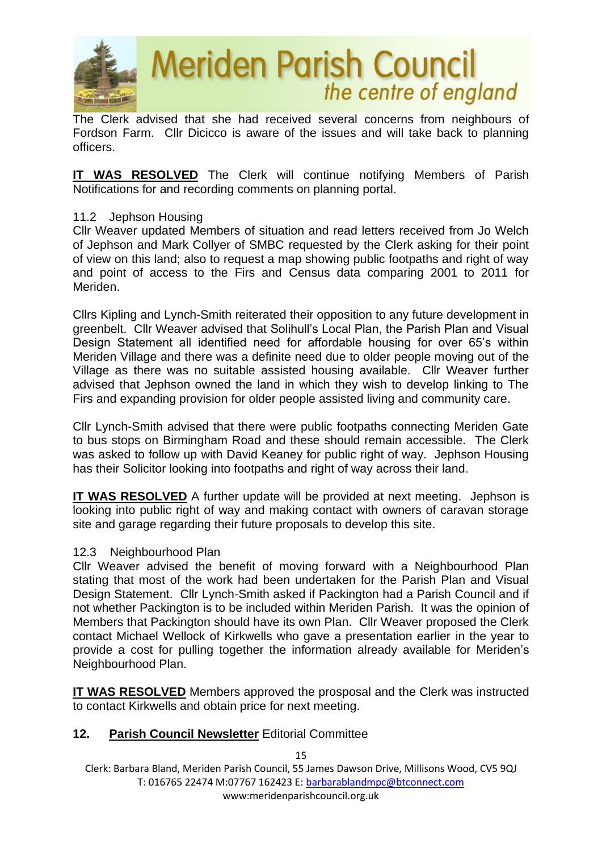

The Clerk advised that she had received several concerns from neighbours of Fordson Farm. Cllr Dicicco is aware of the issues and will take back to planning officers.

**IT WAS RESOLVED** The Clerk will continue notifying Members of Parish Notifications for and recording comments on planning portal.

#### 11.2 Jephson Housing

Cllr Weaver updated Members of situation and read letters received from Jo Welch of Jephson and Mark Collyer of SMBC requested by the Clerk asking for their point of view on this land; also to request a map showing public footpaths and right of way and point of access to the Firs and Census data comparing 2001 to 2011 for Meriden.

Cllrs Kipling and Lynch-Smith reiterated their opposition to any future development in greenbelt. Cllr Weaver advised that Solihull's Local Plan, the Parish Plan and Visual Design Statement all identified need for affordable housing for over 65's within Meriden Village and there was a definite need due to older people moving out of the Village as there was no suitable assisted housing available. Cllr Weaver further advised that Jephson owned the land in which they wish to develop linking to The Firs and expanding provision for older people assisted living and community care.

Cllr Lynch-Smith advised that there were public footpaths connecting Meriden Gate to bus stops on Birmingham Road and these should remain accessible. The Clerk was asked to follow up with David Keaney for public right of way. Jephson Housing has their Solicitor looking into footpaths and right of way across their land.

**IT WAS RESOLVED** A further update will be provided at next meeting. Jephson is looking into public right of way and making contact with owners of caravan storage site and garage regarding their future proposals to develop this site.

#### 12.3 Neighbourhood Plan

Cllr Weaver advised the benefit of moving forward with a Neighbourhood Plan stating that most of the work had been undertaken for the Parish Plan and Visual Design Statement. Cllr Lynch-Smith asked if Packington had a Parish Council and if not whether Packington is to be included within Meriden Parish. It was the opinion of Members that Packington should have its own Plan. Cllr Weaver proposed the Clerk contact Michael Wellock of Kirkwells who gave a presentation earlier in the year to provide a cost for pulling together the information already available for Meriden's Neighbourhood Plan.

**IT WAS RESOLVED** Members approved the prosposal and the Clerk was instructed to contact Kirkwells and obtain price for next meeting.

## **12. Parish Council Newsletter** Editorial Committee

Clerk: Barbara Bland, Meriden Parish Council, 55 James Dawson Drive, Millisons Wood, CV5 9QJ T: 016765 22474 M:07767 162423 E[: barbarablandmpc@btconnect.com](mailto:barbarablandmpc@btconnect.com) www:meridenparishcouncil.org.uk

15